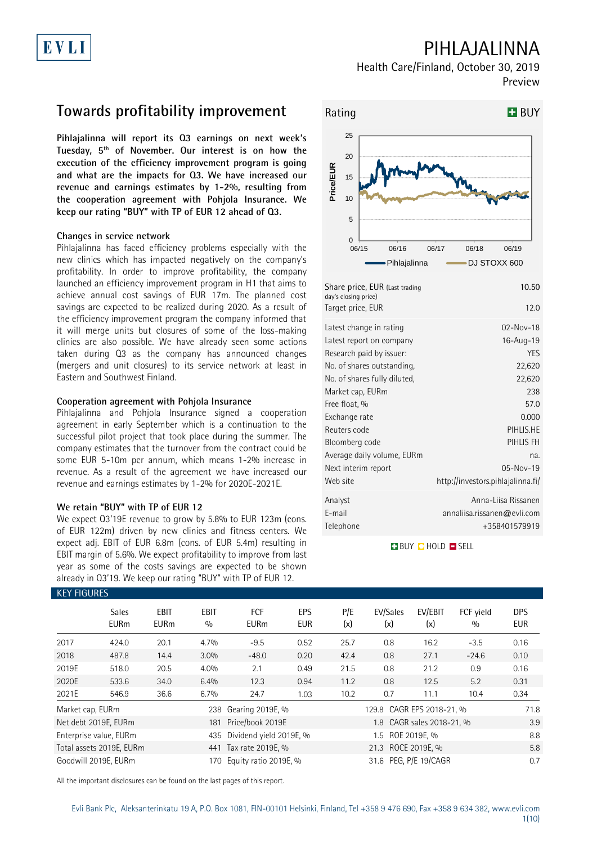## PIHLAJALINNA

Health Care/Finland, October 30, 2019 Preview

## **Towards profitability improvement**

**Pihlajalinna will report its Q3 earnings on next week's Tuesday, 5th of November. Our interest is on how the execution of the efficiency improvement program is going and what are the impacts for Q3. We have increased our revenue and earnings estimates by 1-2%, resulting from the cooperation agreement with Pohjola Insurance. We keep our rating "BUY" with TP of EUR 12 ahead of Q3.** 

#### **Changes in service network**

Pihlajalinna has faced efficiency problems especially with the new clinics which has impacted negatively on the company's profitability. In order to improve profitability, the company launched an efficiency improvement program in H1 that aims to achieve annual cost savings of EUR 17m. The planned cost savings are expected to be realized during 2020. As a result of the efficiency improvement program the company informed that it will merge units but closures of some of the loss-making clinics are also possible. We have already seen some actions taken during Q3 as the company has announced changes (mergers and unit closures) to its service network at least in Eastern and Southwest Finland.

### **Cooperation agreement with Pohjola Insurance**

Pihlajalinna and Pohjola Insurance signed a cooperation agreement in early September which is a continuation to the successful pilot project that took place during the summer. The company estimates that the turnover from the contract could be some EUR 5-10m per annum, which means 1-2% increase in revenue. As a result of the agreement we have increased our revenue and earnings estimates by 1-2% for 2020E-2021E.

### **We retain "BUY" with TP of EUR 12**

We expect Q3'19E revenue to grow by 5.8% to EUR 123m (cons. of EUR 122m) driven by new clinics and fitness centers. We expect adj. EBIT of EUR 6.8m (cons. of EUR 5.4m) resulting in EBIT margin of 5.6%. We expect profitability to improve from last year as some of the costs savings are expected to be shown already in Q3'19. We keep our rating "BUY" with TP of EUR 12.



| Share price, EUR (Last trading<br>day's closing price)<br>Target price, EUR | 10.50<br>12.0                     |
|-----------------------------------------------------------------------------|-----------------------------------|
| Latest change in rating                                                     | $02-Nov-18$                       |
| Latest report on company                                                    | 16-Aug-19                         |
| Research paid by issuer:                                                    | <b>YES</b>                        |
| No. of shares outstanding,                                                  | 22,620                            |
| No. of shares fully diluted,                                                | 22,620                            |
| Market cap, EURm                                                            | 238                               |
| Free float, %                                                               | 57.0                              |
| Exchange rate                                                               | 0.000                             |
| Reuters code                                                                | PIHLIS.HE                         |
| Bloomberg code                                                              | PIHLIS FH                         |
| Average daily volume, EURm                                                  | na.                               |
| Next interim report                                                         | 05-Nov-19                         |
| Web site                                                                    | http://investors.pihlajalinna.fi/ |
| Analyst                                                                     | Anna-Liisa Rissanen               |
| E-mail                                                                      | annaliisa.rissanen@evli.com       |
| Telephone                                                                   | +358401579919                     |

**BUY QHOLD SELL** 

|                  | <b>KEY FIGURES</b>          |                            |                    |                           |                   |                           |                       |                           |                  |                          |  |
|------------------|-----------------------------|----------------------------|--------------------|---------------------------|-------------------|---------------------------|-----------------------|---------------------------|------------------|--------------------------|--|
|                  | <b>Sales</b><br><b>EURm</b> | <b>EBIT</b><br><b>EURm</b> | <b>EBIT</b><br>0/0 | <b>FCF</b><br><b>EURm</b> | EPS<br><b>EUR</b> | P/E<br>(x)                | EV/Sales<br>(x)       | EV/EBIT<br>(x)            | FCF yield<br>0/0 | <b>DPS</b><br><b>EUR</b> |  |
| 2017             | 424.0                       | 20.1                       | 4.7%               | $-9.5$                    | 0.52              | 25.7                      | 0.8                   | 16.2                      | $-3.5$           | 0.16                     |  |
| 2018             | 487.8                       | 14.4                       | 3.0%               | $-48.0$                   | 0.20              | 42.4                      | 0.8                   | 27.1                      | $-24.6$          | 0.10                     |  |
| 2019E            | 518.0                       | 20.5                       | 4.0%               | 2.1                       | 0.49              | 21.5                      | 0.8                   | 21.2                      | 0.9              | 0.16                     |  |
| 2020E            | 533.6                       | 34.0                       | 6.4%               | 12.3                      | 0.94              | 11.2                      | 0.8                   | 12.5                      | 5.2              | 0.31                     |  |
| 2021E            | 546.9                       | 36.6                       | 6.7%               | 24.7                      | 1.03              | 10.2                      | 0.7                   | 11.1                      | 10.4             | 0.34                     |  |
| Market cap, EURm |                             |                            | 238                | Gearing 2019E, %          |                   | 129.8 CAGR EPS 2018-21, % | 71.8                  |                           |                  |                          |  |
|                  | Net debt 2019E, EURm        |                            | 181                | Price/book 2019E          |                   |                           |                       | 1.8 CAGR sales 2018-21, % |                  | 3.9                      |  |
|                  | Enterprise value, EURm      |                            | 435                | Dividend yield 2019E, %   |                   |                           | $1.5^{\circ}$         | ROE 2019E, %              |                  | 8.8                      |  |
|                  | Total assets 2019E, EURm    |                            |                    | 441 Tax rate 2019E, %     |                   | 21.3 ROCE 2019E. %        |                       |                           |                  | 5.8                      |  |
|                  | Goodwill 2019E, EURm        |                            | 170                | Equity ratio 2019E, %     |                   |                           | 31.6 PEG, P/E 19/CAGR |                           |                  |                          |  |

All the important disclosures can be found on the last pages of this report.

#### KEY FIGURES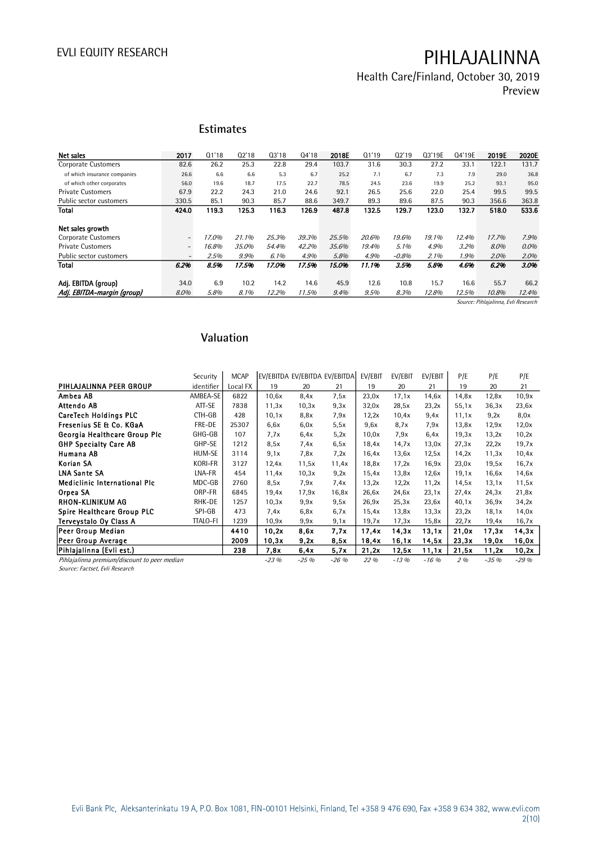Health Care/Finland, October 30, 2019 Preview

### **Estimates**

| Net sales                    | 2017                     | Q1'18 | 02'18 | Q3'18 | Q4'18 | 2018E | 01'19 | Q2'19   | Q3'19E | Q4'19E | 2019E | 2020E |
|------------------------------|--------------------------|-------|-------|-------|-------|-------|-------|---------|--------|--------|-------|-------|
| <b>Corporate Customers</b>   | 82.6                     | 26.2  | 25.3  | 22.8  | 29.4  | 103.7 | 31.6  | 30.3    | 27.2   | 33.1   | 122.1 | 131.7 |
| of which insurance companies | 26.6                     | 6.6   | 6.6   | 5.3   | 6.7   | 25.2  | 7.1   | 6.7     | 7.3    | 7.9    | 29.0  | 36.8  |
| of which other corporates    | 56.0                     | 19.6  | 18.7  | 17.5  | 22.7  | 78.5  | 24.5  | 23.6    | 19.9   | 25.2   | 93.1  | 95.0  |
| <b>Private Customers</b>     | 67.9                     | 22.2  | 24.3  | 21.0  | 24.6  | 92.1  | 26.5  | 25.6    | 22.0   | 25.4   | 99.5  | 99.5  |
| Public sector customers      | 330.5                    | 85.1  | 90.3  | 85.7  | 88.6  | 349.7 | 89.3  | 89.6    | 87.5   | 90.3   | 356.6 | 363.8 |
| Total                        | 424.0                    | 119.3 | 125.3 | 116.3 | 126.9 | 487.8 | 132.5 | 129.7   | 123.0  | 132.7  | 518.0 | 533.6 |
|                              |                          |       |       |       |       |       |       |         |        |        |       |       |
| Net sales growth             |                          |       |       |       |       |       |       |         |        |        |       |       |
| <b>Corporate Customers</b>   | $\overline{\phantom{a}}$ | 17.0% | 21.1% | 25.3% | 39.3% | 25.5% | 20.6% | 19.6%   | 19.1%  | 12.4%  | 17.7% | 7.9%  |
| <b>Private Customers</b>     | $\overline{\phantom{a}}$ | 16.8% | 35.0% | 54.4% | 42.2% | 35.6% | 19.4% | 5.1%    | 4.9%   | 3.2%   | 8.0%  | 0.0%  |
| Public sector customers      | $\overline{\phantom{a}}$ | 2.5%  | 9.9%  | 6.1%  | 4.9%  | 5.8%  | 4.9%  | $-0.8%$ | 2.1%   | 1.9%   | 2.0%  | 2.0%  |
| Total                        | 6.2%                     | 8.5%  | 17.5% | 17.0% | 17.5% | 15.0% | 11.1% | 3.5%    | 5.8%   | 4.6%   | 6.2%  | 3.0%  |
|                              |                          |       |       |       |       |       |       |         |        |        |       |       |
| Adi. EBITDA (group)          | 34.0                     | 6.9   | 10.2  | 14.2  | 14.6  | 45.9  | 12.6  | 10.8    | 15.7   | 16.6   | 55.7  | 66.2  |
| Adj. EBITDA-margin (group)   | 8.0%                     | 5.8%  | 8.1%  | 12.2% | 11.5% | 9.4%  | 9.5%  | 8.3%    | 12.8%  | 12.5%  | 10.8% | 12.4% |

Source: Pihlajalinna, Evli Research

### **Valuation**

|                                              | Security        | <b>MCAP</b> | EV/EBITDA EV/EBITDA EV/EBITDA |        |        | EV/EBIT | EV/EBIT | EV/EBIT  | P/E   | P/E    | P/E    |
|----------------------------------------------|-----------------|-------------|-------------------------------|--------|--------|---------|---------|----------|-------|--------|--------|
| PIHLAJALINNA PEER GROUP                      | identifier      | Local FX    | 19                            | 20     | 21     | 19      | 20      | 21       | 19    | 20     | 21     |
| Ambea AB                                     | AMBEA-SE        | 6822        | 10,6x                         | 8,4x   | 7.5x   | 23,0x   | 17.1x   | 14.6x    | 14.8x | 12,8x  | 10,9x  |
| Attendo AB                                   | ATT-SE          | 7838        | 11,3x                         | 10,3x  | 9.3x   | 32,0x   | 28,5x   | 23,2x    | 55,1x | 36,3x  | 23,6x  |
| <b>CareTech Holdings PLC</b>                 | CTH-GB          | 428         | 10,1x                         | 8.8x   | 7.9x   | 12,2x   | 10,4x   | 9.4x     | 11.1x | 9.2x   | 8,0x   |
| Fresenius SE & Co. KGaA                      | FRE-DE          | 25307       | 6,6x                          | 6.0x   | 5,5x   | 9.6x    | 8.7x    | 7,9x     | 13,8x | 12.9x  | 12,0x  |
| Georgia Healthcare Group Plc                 | GHG-GB          | 107         | 7.7x                          | 6,4x   | 5,2x   | 10,0x   | 7.9x    | 6.4x     | 19,3x | 13,2x  | 10,2x  |
| <b>GHP Specialty Care AB</b>                 | GHP-SE          | 1212        | 8,5x                          | 7.4x   | 6,5x   | 18,4x   | 14.7x   | 13,0x    | 27.3x | 22.2x  | 19.7x  |
| Humana AB                                    | HUM-SE          | 3114        | 9.1x                          | 7.8x   | 7.2x   | 16,4x   | 13.6x   | 12.5x    | 14.2x | 11,3x  | 10,4x  |
| Korian SA                                    | <b>KORI-FR</b>  | 3127        | 12.4x                         | 11,5x  | 11,4x  | 18,8x   | 17.2x   | 16.9x    | 23,0x | 19,5x  | 16,7x  |
| <b>LNA Sante SA</b>                          | LNA-FR          | 454         | 11,4x                         | 10,3x  | 9,2x   | 15,4x   | 13,8x   | 12,6x    | 19.1x | 16,6x  | 14,6x  |
| <b>Mediclinic International Plc</b>          | MDC-GB          | 2760        | 8,5x                          | 7,9x   | 7.4x   | 13,2x   | 12,2x   | 11,2x    | 14.5x | 13.1x  | 11,5x  |
| Orpea SA                                     | ORP-FR          | 6845        | 19.4x                         | 17.9x  | 16,8x  | 26.6x   | 24,6x   | 23.1x    | 27.4x | 24.3x  | 21,8x  |
| <b>RHON-KLINIKUM AG</b>                      | RHK-DE          | 1257        | 10,3x                         | 9.9x   | 9.5x   | 26.9x   | 25,3x   | 23.6x    | 40.1x | 36.9x  | 34,2x  |
| Spire Healthcare Group PLC                   | SPI-GB          | 473         | 7.4x                          | 6.8x   | 6.7x   | 15.4x   | 13.8x   | 13,3x    | 23,2x | 18,1x  | 14,0x  |
| Terveystalo Oy Class A                       | <b>TTALO-FI</b> | 1239        | 10.9x                         | 9,9x   | 9,1x   | 19.7x   | 17.3x   | 15,8x    | 22.7x | 19,4x  | 16,7x  |
| Peer Group Median                            |                 | 4410        | 10,2x                         | 8.6x   | 7.7x   | 17.4x   | 14.3x   | 13.1x    | 21,0x | 17.3x  | 14, 3x |
| Peer Group Average                           |                 | 2009        | 10,3x                         | 9,2x   | 8,5x   | 18,4x   | 16,1x   | 14.5x    | 23,3x | 19,0x  | 16,0x  |
| Pihlajalinna (Evli est.)                     |                 | 238         | 7,8x                          | 6,4x   | 5.7x   | 21,2x   | 12,5x   | 11,1x    | 21,5x | 11,2x  | 10,2x  |
| Pihlajalinna premium/discount to peer median |                 |             | $-23%$                        | $-25%$ | $-26%$ | 22 %    | $-13%$  | $-16.96$ | $2\%$ | $-35%$ | $-29%$ |

Source: Factset, Evli Research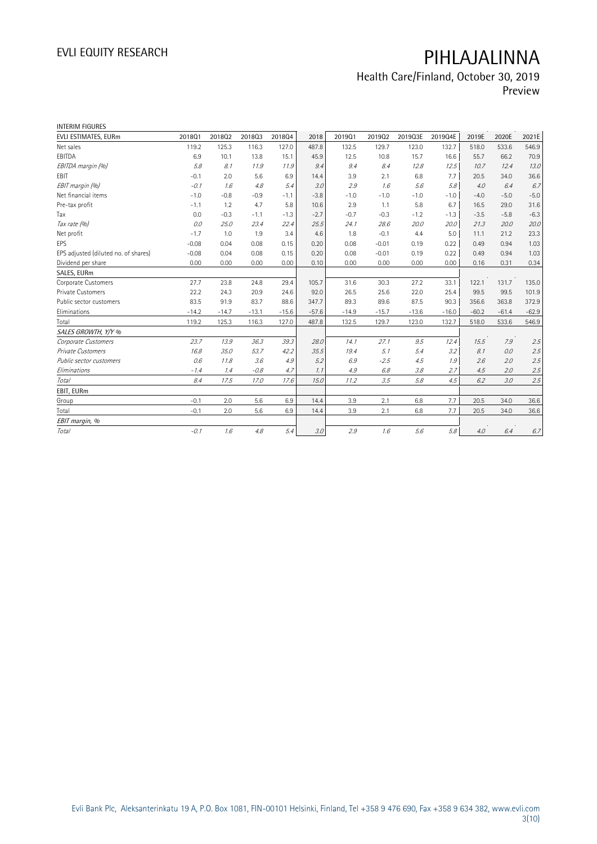# Health Care/Finland, October 30, 2019

Preview

| <b>INTERIM FIGURES</b>               |         |         |         |         |         |         |         |         |         |         |         |         |
|--------------------------------------|---------|---------|---------|---------|---------|---------|---------|---------|---------|---------|---------|---------|
| EVLI ESTIMATES, EURm                 | 201801  | 201802  | 201803  | 201804  | 2018    | 201901  | 201902  | 2019Q3E | 2019Q4E | 2019E   | 2020E   | 2021E   |
| Net sales                            | 119.2   | 125.3   | 116.3   | 127.0   | 487.8   | 132.5   | 129.7   | 123.0   | 132.7   | 518.0   | 533.6   | 546.9   |
| EBITDA                               | 6.9     | 10.1    | 13.8    | 15.1    | 45.9    | 12.5    | 10.8    | 15.7    | 16.6    | 55.7    | 66.2    | 70.9    |
| EBITDA margin (%)                    | 5.8     | 8.1     | 11.9    | 11.9    | 9.4     | 9.4     | 8.4     | 12.8    | 12.5    | 10.7    | 12.4    | 13.0    |
| EBIT                                 | $-0.1$  | 2.0     | 5.6     | 6.9     | 14.4    | 3.9     | 2.1     | 6.8     | 7.7     | 20.5    | 34.0    | 36.6    |
| EBIT margin (%)                      | $-0.1$  | 1.6     | 4.8     | 5.4     | 3.0     | 2.9     | 1.6     | 5.6     | 5.8     | 4.0     | 6.4     | 6.7     |
| Net financial items                  | $-1.0$  | $-0.8$  | $-0.9$  | $-1.1$  | $-3.8$  | $-1.0$  | $-1.0$  | $-1.0$  | $-1.0$  | $-4.0$  | $-5.0$  | $-5.0$  |
| Pre-tax profit                       | $-1.1$  | 1.2     | 4.7     | 5.8     | 10.6    | 2.9     | 1.1     | 5.8     | 6.7     | 16.5    | 29.0    | 31.6    |
| Tax                                  | 0.0     | $-0.3$  | $-1.1$  | $-1.3$  | $-2.7$  | $-0.7$  | $-0.3$  | $-1.2$  | $-1.3$  | $-3.5$  | $-5.8$  | $-6.3$  |
| Tax rate (%)                         | 0.0     | 25.0    | 23.4    | 22.4    | 25.5    | 24.1    | 28.6    | 20.0    | 20.0    | 21.3    | 20.0    | 20.0    |
| Net profit                           | $-1.7$  | 1.0     | 1.9     | 3.4     | 4.6     | 1.8     | $-0.1$  | 4.4     | 5.0     | 11.1    | 21.2    | 23.3    |
| <b>EPS</b>                           | $-0.08$ | 0.04    | 0.08    | 0.15    | 0.20    | 0.08    | $-0.01$ | 0.19    | 0.22    | 0.49    | 0.94    | 1.03    |
| EPS adjusted (diluted no. of shares) | $-0.08$ | 0.04    | 0.08    | 0.15    | 0.20    | 0.08    | $-0.01$ | 0.19    | 0.22    | 0.49    | 0.94    | 1.03    |
| Dividend per share                   | 0.00    | 0.00    | 0.00    | 0.00    | 0.10    | 0.00    | 0.00    | 0.00    | 0.00    | 0.16    | 0.31    | 0.34    |
| SALES, EURm                          |         |         |         |         |         |         |         |         |         |         |         |         |
| Corporate Customers                  | 27.7    | 23.8    | 24.8    | 29.4    | 105.7   | 31.6    | 30.3    | 27.2    | 33.1    | 122.1   | 131.7   | 135.0   |
| <b>Private Customers</b>             | 22.2    | 24.3    | 20.9    | 24.6    | 92.0    | 26.5    | 25.6    | 22.0    | 25.4    | 99.5    | 99.5    | 101.9   |
| Public sector customers              | 83.5    | 91.9    | 83.7    | 88.6    | 347.7   | 89.3    | 89.6    | 87.5    | 90.3    | 356.6   | 363.8   | 372.9   |
| Eliminations                         | $-14.2$ | $-14.7$ | $-13.1$ | $-15.6$ | $-57.6$ | $-14.9$ | $-15.7$ | $-13.6$ | $-16.0$ | $-60.2$ | $-61.4$ | $-62.9$ |
| Total                                | 119.2   | 125.3   | 116.3   | 127.0   | 487.8   | 132.5   | 129.7   | 123.0   | 132.7   | 518.0   | 533.6   | 546.9   |
| SALES GROWTH, Y/Y %                  |         |         |         |         |         |         |         |         |         |         |         |         |
| Corporate Customers                  | 23.7    | 13.9    | 36.3    | 39.3    | 28.0    | 14.1    | 27.1    | 9.5     | 12.4    | 15.5    | 7.9     | 2.5     |
| <b>Private Customers</b>             | 16.8    | 35.0    | 53.7    | 42.2    | 35.5    | 19.4    | 5.1     | 5.4     | 3.2     | 8.1     | 0.0     | 2.5     |
| Public sector customers              | 0.6     | 11.8    | 3.6     | 4.9     | 5.2     | 6.9     | $-2.5$  | 4.5     | 1.9     | 2.6     | 2.0     | 2.5     |
| Eliminations                         | $-1.4$  | 1.4     | $-0.8$  | 4.7     | 1.1     | 4.9     | 6.8     | 3.8     | 2.7     | 4.5     | 2.0     | 2.5     |
| Total                                | 8.4     | 17.5    | 17.0    | 17.6    | 15.0    | 11.2    | 3.5     | 5.8     | 4.5     | 6.2     | 3.0     | 2.5     |
| EBIT, EURm                           |         |         |         |         |         |         |         |         |         |         |         |         |
| Group                                | $-0.1$  | 2.0     | 5.6     | 6.9     | 14.4    | 3.9     | 2.1     | 6.8     | 7.7     | 20.5    | 34.0    | 36.6    |
| Total                                | $-0.1$  | 2.0     | 5.6     | 6.9     | 14.4    | 3.9     | 2.1     | 6.8     | 7.7     | 20.5    | 34.0    | 36.6    |
| EBIT margin, %                       |         |         |         |         |         |         |         |         |         |         |         |         |
| Total                                | $-0.1$  | 1.6     | 4.8     | 5.4     | 3.0     | 2.9     | 1.6     | 5.6     | 5.8     | 4.0     | 6.4     | $6.7\,$ |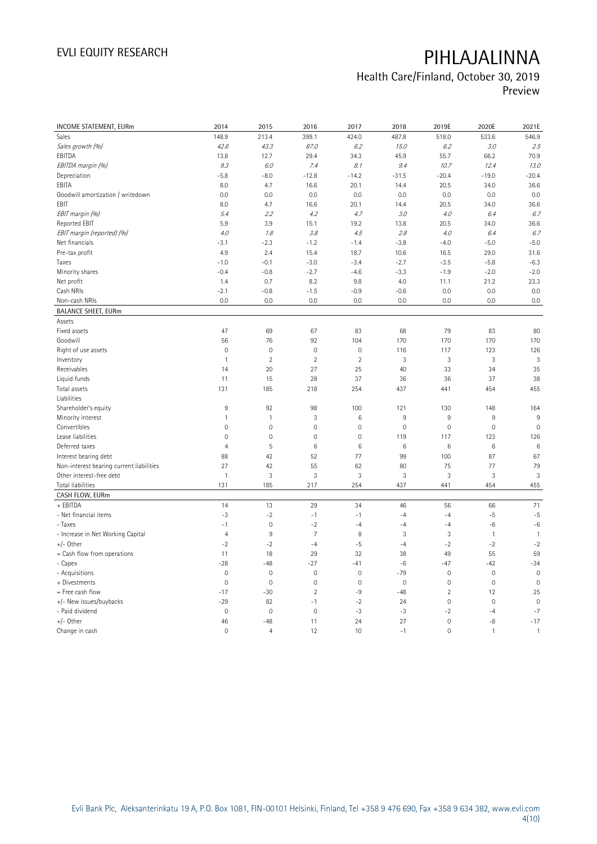## Health Care/Finland, October 30, 2019

Preview

| INCOME STATEMENT, EURm                   | 2014           | 2015           | 2016                | 2017                | 2018            | 2019E               | 2020E        | 2021E           |
|------------------------------------------|----------------|----------------|---------------------|---------------------|-----------------|---------------------|--------------|-----------------|
| <b>Sales</b>                             | 148.9          | 213.4          | 399.1               | 424.0               | 487.8           | 518.0               | 533.6        | 546.9           |
| Sales growth (%)                         | 42.6           | 43.3           | 87.0                | 6.2                 | 15.0            | 6.2                 | 3.0          | 2.5             |
| EBITDA                                   | 13.8           | 12.7           | 29.4                | 34.3                | 45.9            | 55.7                | 66.2         | 70.9            |
| EBITDA margin (%)                        | 9.3            | 6.0            | 7.4                 | 8.1                 | 9.4             | 10.7                | 12.4         | 13.0            |
| Depreciation                             | $-5.8$         | $-8.0$         | $-12.8$             | $-14.2$             | $-31.5$         | $-20.4$             | $-19.0$      | $-20.4$         |
| EBITA                                    | 8.0            | 4.7            | 16.6                | 20.1                | 14.4            | 20.5                | 34.0         | 36.6            |
| Goodwill amortization / writedown        | 0.0            | 0.0            | 0.0                 | 0.0                 | 0.0             | 0.0                 | 0.0          | 0.0             |
| EBIT                                     | 8.0            | 4.7            | 16.6                | 20.1                | 14.4            | 20.5                | 34.0         | 36.6            |
| EBIT margin (%)                          | 5.4            | 2.2            | 4.2                 | 4.7                 | 3.0             | 4.0                 | 6.4          | 6.7             |
| Reported EBIT                            | 5.9            | 3.9            | 15.1                | 19.2                | 13.8            | 20.5                | 34.0         | 36.6            |
| EBIT margin (reported) (%)               | 4.0            | 1.8            | 3.8                 | 4.5                 | 2.8             | 4.0                 | 6.4          | 6.7             |
| Net financials                           | $-3.1$         | $-2.3$         | $-1.2$              | $-1.4$              | $-3.8$          | $-4.0$              | $-5.0$       | $-5.0$          |
| Pre-tax profit                           | 4.9            | 2.4            | 15.4                | 18.7                | 10.6            | 16.5                | 29.0         | 31.6            |
| Taxes                                    | $-1.0$         | $-0.1$         | $-3.0$              | $-3.4$              | $-2.7$          | $-3.5$              | $-5.8$       | $-6.3$          |
| Minority shares                          | $-0.4$         | $-0.8$         | $-2.7$              | $-4.6$              | $-3.3$          | $-1.9$              | $-2.0$       | $-2.0$          |
| Net profit                               | 1.4            | 0.7            | 8.2                 | 9.8                 | 4.0             | 11.1                | 21.2         | 23.3            |
| Cash NRIs                                | $-2.1$         | $-0.8$         | $-1.5$              | $-0.9$              | $-0.6$          | 0.0                 | 0.0          | 0.0             |
| Non-cash NRIs                            | 0.0            | 0.0            | 0.0                 | 0.0                 | 0.0             | 0.0                 | 0.0          | 0.0             |
| <b>BALANCE SHEET, EURm</b>               |                |                |                     |                     |                 |                     |              |                 |
| Assets                                   |                |                |                     |                     |                 |                     |              |                 |
| Fixed assets                             | 47             | 69             | 67                  | 83                  | 68              | 79                  | 83           | 80              |
| Goodwill                                 | 56             | 76             | 92                  | 104                 | 170             | 170                 | 170          | 170             |
| Right of use assets                      | $\mathbf{0}$   | $\mathbf{0}$   | $\overline{0}$      | $\mathbf{0}$        | 116             | 117                 | 123          | 126             |
| Inventory                                | $\mathbf{1}$   | $\sqrt{2}$     | $\overline{2}$      | $\sqrt{2}$          | 3               | $\sqrt{3}$          | 3            | 3               |
| Receivables                              | 14             | 20             | 27                  | 25                  | 40              | 33                  | 34           | 35              |
| Liquid funds                             | 11             | 15             | 28                  | 37                  | 36              | 36                  | 37           | 38              |
| Total assets                             | 131            | 185            | 218                 | 254                 | 437             | 441                 | 454          | 455             |
| Liabilities                              |                |                |                     |                     |                 |                     |              |                 |
| Shareholder's equity                     | $9\,$          | 92             | 98                  | 100                 | 121             | 130                 | 148          | 164             |
| Minority interest                        | $\mathbf{1}$   | $\mathbf{1}$   | 3                   | $6\phantom{a}$      | 9               | 9                   | 9            | 9               |
| Convertibles                             | $\mathbf 0$    | $\mathbf 0$    | $\mathsf{O}\xspace$ | $\mathsf{O}\xspace$ | $\mathbf 0$     | $\mathbb O$         | $\mathbb O$  | $\mathbf 0$     |
| Lease liabilities                        | $\mathbf 0$    | $\mathbf 0$    | $\mathbf 0$         | $\mathsf{O}\xspace$ | 119             | 117                 | 123          | 126             |
| Deferred taxes                           | $\overline{4}$ | 5              | $6\phantom{1}6$     | $\,6\,$             | $6\phantom{1}6$ | 6                   | $\,6\,$      | $6\phantom{1}6$ |
| Interest bearing debt                    | 88             | 42             | 52                  | 77                  | 99              | 100                 | 87           | 67              |
| Non-interest bearing current liabilities | 27             | 42             | 55                  | 62                  | 80              | 75                  | 77           | 79              |
| Other interest-free debt                 | $\mathbf{1}$   | 3              | 3                   | 3                   | 3               | 3                   | 3            | 3               |
| Total liabilities                        | 131            | 185            | 217                 | 254                 | 437             | 441                 | 454          | 455             |
| CASH FLOW, EURm                          |                |                |                     |                     |                 |                     |              |                 |
| + EBITDA                                 | 14             | 13             | 29                  | 34                  | 46              | 56                  | 66           | 71              |
| - Net financial items                    | $-3$           | $-2$           | $-1$                | $-1$                | $-4$            | $-4$                | $-5$         | $-5$            |
| - Taxes                                  | $-1$           | $\mathbf 0$    | $-2$                | $-4$                | $-4$            | $-4$                | $-6$         | $-6$            |
| - Increase in Net Working Capital        | $\overline{4}$ | $\overline{9}$ | $\overline{7}$      | 8                   | 3               | 3                   | $\mathbf{1}$ | $\overline{1}$  |
| $+/-$ Other                              | $-2$           | $-2$           | $-4$                | $-5$                | $-4$            | $-2$                | $-2$         | $-2$            |
| = Cash flow from operations              | 11             | 18             | 29                  | 32                  | 38              | 49                  | 55           | 59              |
| - Capex                                  | $-28$          | $-48$          | $-27$               | $-41$               | $-6$            | $-47$               | $-42$        | $-34$           |
| - Acquisitions                           | $\mathbf 0$    | $\mathbf 0$    | $\overline{0}$      | $\mathbf 0$         | $-79$           | $\mathbf 0$         | $\mathbf{0}$ | $\mathbf 0$     |
| + Divestments                            | $\mathbf 0$    | $\mathbf 0$    | $\mathbf 0$         | $\mathsf{O}\xspace$ | $\mathbf 0$     | $\mathsf{O}\xspace$ | $\mathbf 0$  | $\mathbf 0$     |
| = Free cash flow                         | $-17$          | $-30$          | $\overline{2}$      | -9                  | $-48$           | $\overline{2}$      | 12           | 25              |
| +/- New issues/buybacks                  | $-29$          | 82             | $-1$                | $-2$                | 24              | $\mathsf{O}\xspace$ | $\mathbf 0$  | $\mathbf 0$     |
| - Paid dividend                          | $\mathbf{0}$   | $\mathbf{0}$   | $\overline{0}$      | $-3$                | $-3$            | $-2$                | $-4$         | $-7$            |
| $+/-$ Other                              | 46             | $-48$          | 11                  | 24                  | 27              | $\mathsf{O}\xspace$ | $-8$         | $-17$           |
| Change in cash                           | $\mathbf 0$    | $\overline{4}$ | 12                  | 10                  | $-1$            | $\overline{0}$      | $\mathbf{1}$ | $\mathbf{1}$    |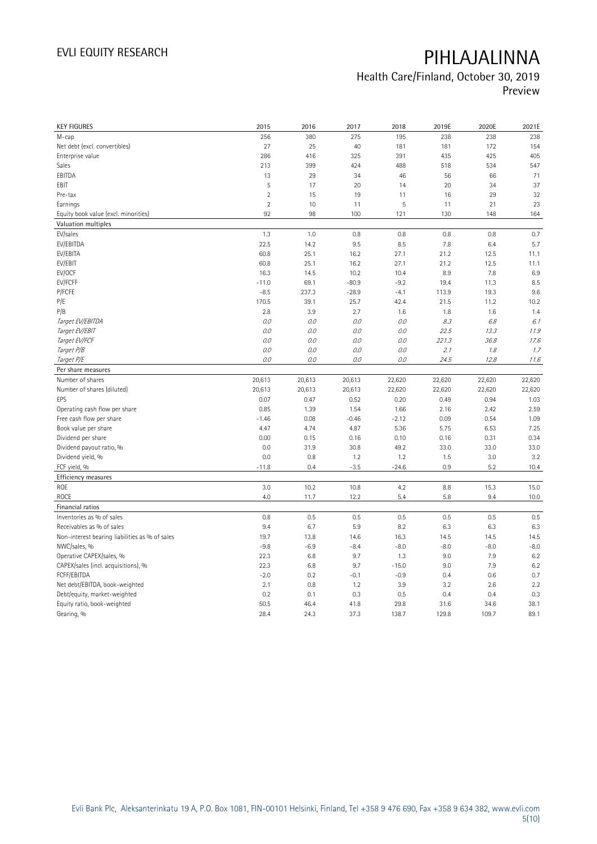### Health Care/Finland, October 30, 2019 Preview

| <b>KEY FIGURES</b>                             | 2015           | 2016         | 2017         | 2018          | 2019E         | 2020E         | 2021E        |
|------------------------------------------------|----------------|--------------|--------------|---------------|---------------|---------------|--------------|
| M-cap                                          | 256            | 380          | 275          | 195           | 238           | 238           | 238          |
| Net debt (excl. convertibles)                  | 27             | 25           | 40           | 181           | 181           | 172           | 154          |
| Enterprise value                               | 286            | 416          | 325          | 391           | 435           | 425           | 405          |
| Sales                                          | 213            | 399          | 424          | 488           | 518           | 534           | 547          |
| EBITDA                                         | 13             | 29           | 34           | 46            | 56            | 66            | 71           |
| EBIT                                           | 5              | 17           | 20           | 14            | 20            | 34            | 37           |
| Pre-tax                                        | $\overline{2}$ | 15           | 19           | 11            | 16            | 29            | 32           |
| Earnings                                       | $\overline{2}$ | 10           | 11           | 5             | 11            | 21            | 23           |
| Equity book value (excl. minorities)           | 92             | 98           | 100          | 121           | 130           | 148           | 164          |
| Valuation multiples                            |                |              |              |               |               |               |              |
| EV/sales                                       | 1.3            | 1.0          | 0.8          | 0.8           | 0.8           | 0.8           | 0.7          |
| EV/EBITDA                                      | 22.5           | 14.2         | 9.5          | 8.5           | 7.8           | 6.4           | 5.7          |
| EV/EBITA                                       | 60.8           | 25.1         | 16.2         | 27.1          | 21.2          | 12.5          | 11.1         |
| EV/EBIT                                        | 60.8           | 25.1         | 16.2         | 27.1          | 21.2          | 12.5          | 11.1         |
| EV/OCF                                         | 16.3           | 14.5         | 10.2         | 10.4          | 8.9           | 7.8           | 6.9          |
| EV/FCFF                                        | $-11.0$        | 69.1         | $-80.9$      | $-9.2$        | 19.4          | 11.3          | 8.5          |
| P/FCFE                                         | $-8.5$         | 237.3        | $-28.9$      | $-4.1$        | 113.9         | 19.3          | 9.6          |
| P/E                                            | 170.5          | 39.1         | 25.7         | 42.4          | 21.5          | 11.2          | 10.2         |
| P/B                                            | 2.8            | 3.9          | 2.7          | 1.6           | 1.8           | 1.6           | 1.4          |
| Target EV/EBITDA                               | O.O            | 0.0          | 0.0          | 0.0           | 8.3           | 6.8           | 6.1          |
| Target EV/EBIT                                 | 0.0            | 0.0          | 0.0          | 0.0           | 22.5          | 13.3          | 11.9         |
| Target EV/FCF                                  | 0.0            | 0.0          | 0.0          | 0.0           | 221.3         | 36.8          | 17.6         |
| Target P/B                                     | $O.O$          | 0.0          | 0.0          | 0.0           | 2.1           | 1.8           | 1.7          |
| Target P/E                                     | 0.0            | 0.0          | 0.0          | 0.0           | 24.5          | 12.8          | 11.6         |
| Per share measures                             |                |              |              |               |               |               |              |
| Number of shares                               | 20,613         | 20,613       | 20,613       | 22,620        | 22,620        | 22,620        | 22,620       |
| Number of shares (diluted)                     | 20,613         | 20,613       | 20,613       | 22,620        | 22,620        | 22,620        | 22,620       |
| EPS                                            | 0.07           | 0.47         | 0.52         | 0.20          | 0.49          | 0.94          | 1.03         |
| Operating cash flow per share                  | 0.85           | 1.39         | 1.54         | 1.66          | 2.16          | 2.42          | 2.59         |
| Free cash flow per share                       | $-1.46$        | 0.08         | $-0.46$      | $-2.12$       | 0.09          | 0.54          | 1.09         |
| Book value per share                           | 4.47           | 4.74         | 4.87         | 5.36          | 5.75          | 6.53          | 7.25         |
| Dividend per share                             | 0.00           | 0.15         | 0.16         | 0.10          | 0.16          | 0.31          | 0.34         |
| Dividend payout ratio, %                       | 0.0            | 31.9         | 30.8         | 49.2          | 33.0          | 33.0          | 33.0         |
| Dividend yield, %                              | 0.0            | 0.8          | 1.2          | 1.2           | 1.5           | 3.0           | 3.2          |
| FCF yield, %                                   | $-11.8$        |              |              |               | 0.9           |               | 10.4         |
|                                                |                |              |              |               |               |               |              |
|                                                |                | 0.4          | $-3.5$       | $-24.6$       |               | 5.2           |              |
| Efficiency measures                            |                |              |              |               |               |               |              |
| ROE                                            | 3.0            | 10.2         | 10.8         | 4.2           | 8.8           | 15.3          | 15.0         |
| ROCE                                           | 4.0            | 11.7         | 12.2         | 5.4           | 5.8           | 9.4           | 10.0         |
| Financial ratios                               |                |              |              |               |               |               |              |
| Inventories as % of sales                      | 0.8            | 0.5          | 0.5          | 0.5           | 0.5           | 0.5           | 0.5          |
| Receivables as % of sales                      | 9.4            | 6.7          | 5.9          | 8.2           | 6.3           | 6.3           | 6.3          |
| Non-interest bearing liabilities as % of sales | 19.7           | 13.8         | 14.6         | 16.3          | 14.5          | 14.5          | 14.5         |
| NWC/sales, %                                   | $-9.8$         | $-6.9$       | $-8.4$       | $-8.0$        | $-8.0$        | $-8.0$        | $-8.0$       |
| Operative CAPEX/sales, %                       | 22.3           | 6.8          | 9.7          | 1.3           | 9.0           | 7.9           | 6.2          |
| CAPEX/sales (incl. acquisitions), %            | 22.3           | 6.8          | 9.7          | $-15.0$       | 9.0           | 7.9           | 6.2          |
| FCFF/EBITDA                                    | $-2.0$         | 0.2          | $-0.1$       | $-0.9$        | 0.4           | 0.6           | 0.7          |
| Net debt/EBITDA, book-weighted                 | 2.1            | 0.8          | 1.2          | 3.9           | 3.2           | 2.6           | 2.2          |
| Debt/equity, market-weighted                   | 0.2            | 0.1          | 0.3          | 0.5           | 0.4           | 0.4           | 0.3          |
| Equity ratio, book-weighted<br>Gearing, %      | 50.5<br>28.4   | 46.4<br>24.3 | 41.8<br>37.3 | 29.8<br>138.7 | 31.6<br>129.8 | 34.6<br>109.7 | 38.1<br>89.1 |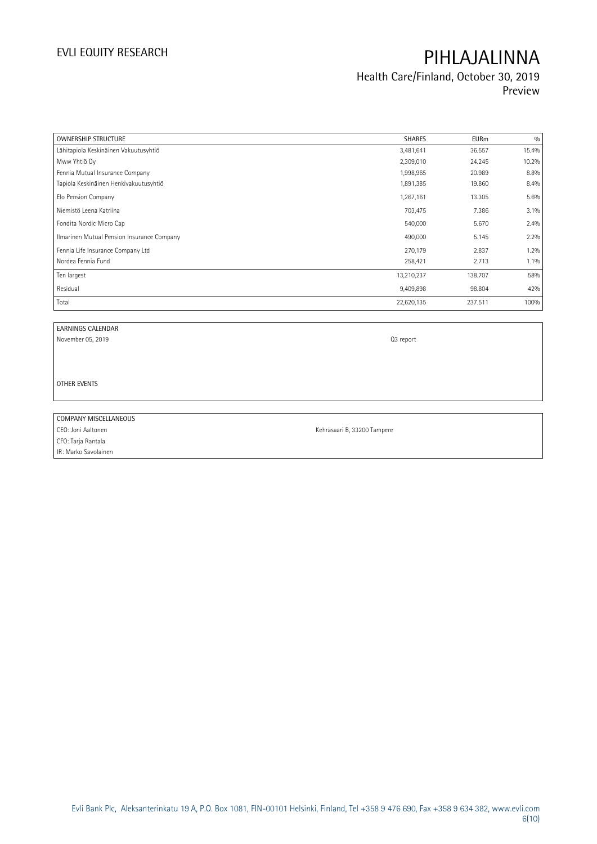### Health Care/Finland, October 30, 2019 Preview

| <b>OWNERSHIP STRUCTURE</b>                 | <b>SHARES</b> | <b>EURm</b> | 0/0   |
|--------------------------------------------|---------------|-------------|-------|
| Lähitapiola Keskinäinen Vakuutusyhtiö      | 3,481,641     | 36.557      | 15.4% |
| Mww Yhtiö Oy                               | 2,309,010     | 24.245      | 10.2% |
| Fennia Mutual Insurance Company            | 1,998,965     | 20.989      | 8.8%  |
| Tapiola Keskinäinen Henkivakuutusyhtiö     | 1,891,385     | 19.860      | 8.4%  |
| Elo Pension Company                        | 1,267,161     | 13.305      | 5.6%  |
| Niemistö Leena Katriina                    | 703,475       | 7.386       | 3.1%  |
| Fondita Nordic Micro Cap                   | 540,000       | 5.670       | 2.4%  |
| Ilmarinen Mutual Pension Insurance Company | 490,000       | 5.145       | 2.2%  |
| Fennia Life Insurance Company Ltd          | 270,179       | 2.837       | 1.2%  |
| Nordea Fennia Fund                         | 258,421       | 2.713       | 1.1%  |
| Ten largest                                | 13,210,237    | 138.707     | 58%   |
| Residual                                   | 9,409,898     | 98.804      | 42%   |
| Total                                      | 22,620,135    | 237.511     | 100%  |

EARNINGS CALENDAR

November 05, 2019 Q3 report

OTHER EVENTS

COMPANY MISCELLANEOUS

CFO: Tarja Rantala IR: Marko Savolainen

CEO: Joni Aaltonen Kehräsaari B, 33200 Tampere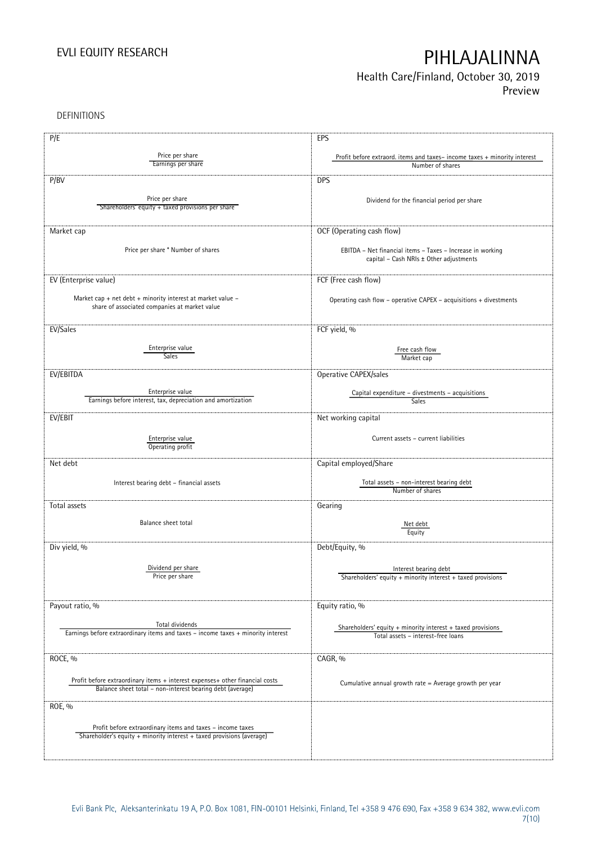## Health Care/Finland, October 30, 2019

Preview

DEFINITIONS

| P/E                                                                                                            | EPS                                                                      |
|----------------------------------------------------------------------------------------------------------------|--------------------------------------------------------------------------|
|                                                                                                                |                                                                          |
| Price per share<br>Earnings per share                                                                          | Profit before extraord. items and taxes-income taxes + minority interest |
|                                                                                                                | Number of shares                                                         |
| P/BV                                                                                                           | <b>DPS</b>                                                               |
|                                                                                                                |                                                                          |
| Price per share                                                                                                | Dividend for the financial period per share                              |
| Shareholders' equity + taxed provisions per share                                                              |                                                                          |
|                                                                                                                |                                                                          |
| Market cap                                                                                                     | OCF (Operating cash flow)                                                |
|                                                                                                                |                                                                          |
| Price per share * Number of shares                                                                             | EBITDA - Net financial items - Taxes - Increase in working               |
|                                                                                                                | capital - Cash NRIs ± Other adjustments                                  |
|                                                                                                                |                                                                          |
| EV (Enterprise value)                                                                                          | FCF (Free cash flow)                                                     |
|                                                                                                                |                                                                          |
| Market cap + net debt + minority interest at market value $-$<br>share of associated companies at market value | Operating cash flow – operative CAPEX – acquisitions $+$ divestments     |
|                                                                                                                |                                                                          |
|                                                                                                                |                                                                          |
| EV/Sales                                                                                                       | FCF yield, %                                                             |
|                                                                                                                |                                                                          |
| Enterprise value<br>Sales                                                                                      | Free cash flow                                                           |
|                                                                                                                | Market cap                                                               |
| EV/EBITDA                                                                                                      | Operative CAPEX/sales                                                    |
|                                                                                                                |                                                                          |
| Enterprise value                                                                                               | Capital expenditure – divestments – acquisitions                         |
| Earnings before interest, tax, depreciation and amortization                                                   | Sales                                                                    |
| EV/EBIT                                                                                                        | Net working capital                                                      |
|                                                                                                                |                                                                          |
|                                                                                                                | Current assets - current liabilities                                     |
| Enterprise value<br>Operating profit                                                                           |                                                                          |
|                                                                                                                |                                                                          |
| Net debt                                                                                                       | Capital employed/Share                                                   |
|                                                                                                                |                                                                          |
| Interest bearing debt - financial assets                                                                       | Total assets - non-interest bearing debt                                 |
|                                                                                                                | Number of shares                                                         |
| Total assets                                                                                                   | Gearing                                                                  |
|                                                                                                                |                                                                          |
| Balance sheet total                                                                                            | Net debt                                                                 |
|                                                                                                                | Equity                                                                   |
| Div yield, %                                                                                                   | Debt/Equity, %                                                           |
|                                                                                                                |                                                                          |
| Dividend per share                                                                                             | Interest bearing debt                                                    |
| Price per share                                                                                                | Shareholders' equity $+$ minority interest $+$ taxed provisions          |
|                                                                                                                |                                                                          |
|                                                                                                                |                                                                          |
| Payout ratio, %                                                                                                | Equity ratio, %                                                          |
|                                                                                                                |                                                                          |
| Total dividends<br>Earnings before extraordinary items and taxes - income taxes + minority interest            | Shareholders' equity $+$ minority interest $+$ taxed provisions          |
|                                                                                                                | Total assets - interest-free loans                                       |
|                                                                                                                |                                                                          |
| ROCE, %                                                                                                        | CAGR, %                                                                  |
|                                                                                                                |                                                                          |
| Profit before extraordinary items + interest expenses+ other financial costs                                   | Cumulative annual growth rate = Average growth per year                  |
| Balance sheet total - non-interest bearing debt (average)                                                      |                                                                          |
|                                                                                                                |                                                                          |
| ROE, %                                                                                                         |                                                                          |
|                                                                                                                |                                                                          |
| Profit before extraordinary items and taxes - income taxes                                                     |                                                                          |
| Shareholder's equity + minority interest + taxed provisions (average)                                          |                                                                          |
|                                                                                                                |                                                                          |
|                                                                                                                |                                                                          |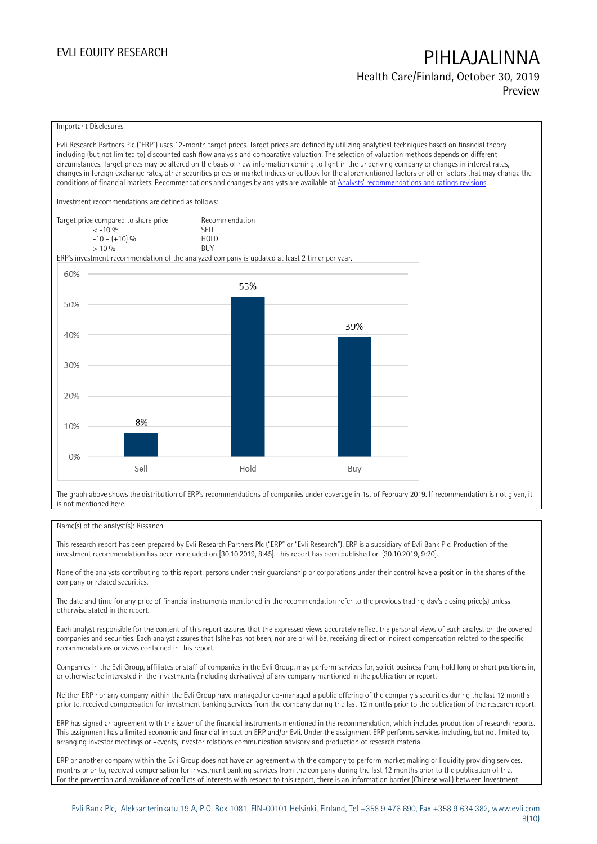Health Care/Finland, October 30, 2019 Preview

#### Important Disclosures

Evli Research Partners Plc ("ERP") uses 12-month target prices. Target prices are defined by utilizing analytical techniques based on financial theory including (but not limited to) discounted cash flow analysis and comparative valuation. The selection of valuation methods depends on different circumstances. Target prices may be altered on the basis of new information coming to light in the underlying company or changes in interest rates, changes in foreign exchange rates, other securities prices or market indices or outlook for the aforementioned factors or other factors that may change the conditions of financial markets. Recommendations and changes by analysts are available at [Analysts' recommendations](https://research.evli.com/JasperAllModels.action?authParam=key;461&authParam=x;G3rNagWrtf7K&authType=3) and ratings revisions.

Investment recommendations are defined as follows:

| Target price compared to share price | Recommendation                |
|--------------------------------------|-------------------------------|
| $<-10.06$                            | <b>SFII</b>                   |
| $-10 - (+10)$ %                      | H <sub>O</sub> I <sub>D</sub> |
| $> 10\%$                             | <b>BUY</b>                    |

ERP's investment recommendation of the analyzed company is updated at least 2 timer per year.



The graph above shows the distribution of ERP's recommendations of companies under coverage in 1st of February 2019. If recommendation is not given, it is not mentioned here.

#### Name(s) of the analyst(s): Rissanen

This research report has been prepared by Evli Research Partners Plc ("ERP" or "Evli Research"). ERP is a subsidiary of Evli Bank Plc. Production of the investment recommendation has been concluded on [30.10.2019, 8:45]. This report has been published on [30.10.2019, 9:20].

None of the analysts contributing to this report, persons under their guardianship or corporations under their control have a position in the shares of the company or related securities.

The date and time for any price of financial instruments mentioned in the recommendation refer to the previous trading day's closing price(s) unless otherwise stated in the report.

Each analyst responsible for the content of this report assures that the expressed views accurately reflect the personal views of each analyst on the covered companies and securities. Each analyst assures that (s)he has not been, nor are or will be, receiving direct or indirect compensation related to the specific recommendations or views contained in this report.

Companies in the Evli Group, affiliates or staff of companies in the Evli Group, may perform services for, solicit business from, hold long or short positions in, or otherwise be interested in the investments (including derivatives) of any company mentioned in the publication or report.

Neither ERP nor any company within the Evli Group have managed or co-managed a public offering of the company's securities during the last 12 months prior to, received compensation for investment banking services from the company during the last 12 months prior to the publication of the research report.

ERP has signed an agreement with the issuer of the financial instruments mentioned in the recommendation, which includes production of research reports. This assignment has a limited economic and financial impact on ERP and/or Evli. Under the assignment ERP performs services including, but not limited to, arranging investor meetings or –events, investor relations communication advisory and production of research material.

ERP or another company within the Evli Group does not have an agreement with the company to perform market making or liquidity providing services. months prior to, received compensation for investment banking services from the company during the last 12 months prior to the publication of the. For the prevention and avoidance of conflicts of interests with respect to this report, there is an information barrier (Chinese wall) between Investment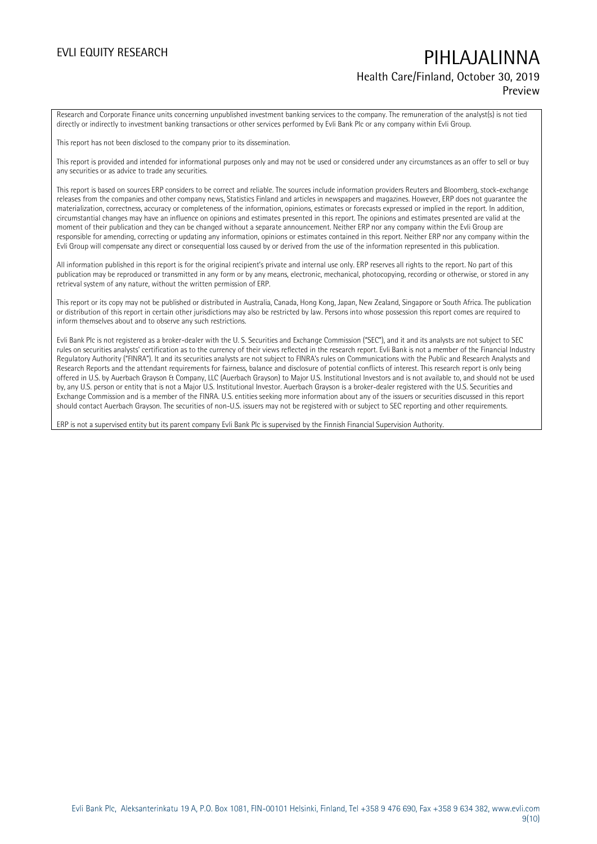## EVLI EQUITY RESEARCH **PIHLAJALINNA** Health Care/Finland, October 30, 2019

### Preview

Research and Corporate Finance units concerning unpublished investment banking services to the company. The remuneration of the analyst(s) is not tied directly or indirectly to investment banking transactions or other services performed by Evli Bank Plc or any company within Evli Group.

This report has not been disclosed to the company prior to its dissemination.

This report is provided and intended for informational purposes only and may not be used or considered under any circumstances as an offer to sell or buy any securities or as advice to trade any securities.

This report is based on sources ERP considers to be correct and reliable. The sources include information providers Reuters and Bloomberg, stock-exchange releases from the companies and other company news, Statistics Finland and articles in newspapers and magazines. However, ERP does not guarantee the materialization, correctness, accuracy or completeness of the information, opinions, estimates or forecasts expressed or implied in the report. In addition, circumstantial changes may have an influence on opinions and estimates presented in this report. The opinions and estimates presented are valid at the moment of their publication and they can be changed without a separate announcement. Neither ERP nor any company within the Evli Group are responsible for amending, correcting or updating any information, opinions or estimates contained in this report. Neither ERP nor any company within the Evli Group will compensate any direct or consequential loss caused by or derived from the use of the information represented in this publication.

All information published in this report is for the original recipient's private and internal use only. ERP reserves all rights to the report. No part of this publication may be reproduced or transmitted in any form or by any means, electronic, mechanical, photocopying, recording or otherwise, or stored in any retrieval system of any nature, without the written permission of ERP.

This report or its copy may not be published or distributed in Australia, Canada, Hong Kong, Japan, New Zealand, Singapore or South Africa. The publication or distribution of this report in certain other jurisdictions may also be restricted by law. Persons into whose possession this report comes are required to inform themselves about and to observe any such restrictions.

Evli Bank Plc is not registered as a broker-dealer with the U. S. Securities and Exchange Commission ("SEC"), and it and its analysts are not subject to SEC rules on securities analysts' certification as to the currency of their views reflected in the research report. Evli Bank is not a member of the Financial Industry Regulatory Authority ("FINRA"). It and its securities analysts are not subject to FINRA's rules on Communications with the Public and Research Analysts and Research Reports and the attendant requirements for fairness, balance and disclosure of potential conflicts of interest. This research report is only being offered in U.S. by Auerbach Grayson & Company, LLC (Auerbach Grayson) to Major U.S. Institutional Investors and is not available to, and should not be used by, any U.S. person or entity that is not a Major U.S. Institutional Investor. Auerbach Grayson is a broker-dealer registered with the U.S. Securities and Exchange Commission and is a member of the FINRA. U.S. entities seeking more information about any of the issuers or securities discussed in this report should contact Auerbach Grayson. The securities of non-U.S. issuers may not be registered with or subject to SEC reporting and other requirements.

ERP is not a supervised entity but its parent company Evli Bank Plc is supervised by the Finnish Financial Supervision Authority.